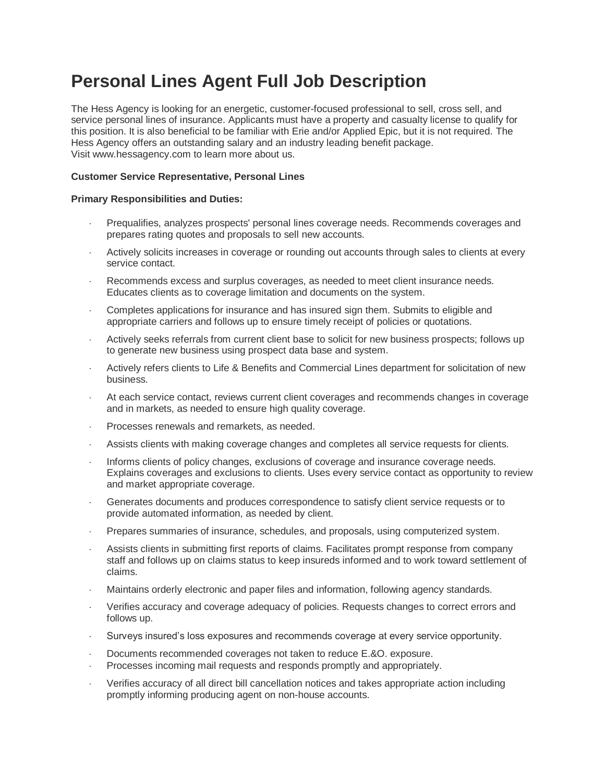# **Personal Lines Agent Full Job Description**

The Hess Agency is looking for an energetic, customer-focused professional to sell, cross sell, and service personal lines of insurance. Applicants must have a property and casualty license to qualify for this position. It is also beneficial to be familiar with Erie and/or Applied Epic, but it is not required. The Hess Agency offers an outstanding salary and an industry leading benefit package. Visit www.hessagency.com to learn more about us.

## **Customer Service Representative, Personal Lines**

#### **Primary Responsibilities and Duties:**

- Prequalifies, analyzes prospects' personal lines coverage needs. Recommends coverages and prepares rating quotes and proposals to sell new accounts.
- Actively solicits increases in coverage or rounding out accounts through sales to clients at every service contact.
- Recommends excess and surplus coverages, as needed to meet client insurance needs. Educates clients as to coverage limitation and documents on the system.
- Completes applications for insurance and has insured sign them. Submits to eligible and appropriate carriers and follows up to ensure timely receipt of policies or quotations.
- Actively seeks referrals from current client base to solicit for new business prospects; follows up to generate new business using prospect data base and system.
- Actively refers clients to Life & Benefits and Commercial Lines department for solicitation of new business.
- At each service contact, reviews current client coverages and recommends changes in coverage and in markets, as needed to ensure high quality coverage.
- Processes renewals and remarkets, as needed.
- Assists clients with making coverage changes and completes all service requests for clients.
- Informs clients of policy changes, exclusions of coverage and insurance coverage needs. Explains coverages and exclusions to clients. Uses every service contact as opportunity to review and market appropriate coverage.
- Generates documents and produces correspondence to satisfy client service requests or to provide automated information, as needed by client.
- Prepares summaries of insurance, schedules, and proposals, using computerized system.
- Assists clients in submitting first reports of claims. Facilitates prompt response from company staff and follows up on claims status to keep insureds informed and to work toward settlement of claims.
- Maintains orderly electronic and paper files and information, following agency standards.
- Verifies accuracy and coverage adequacy of policies. Requests changes to correct errors and follows up.
- Surveys insured's loss exposures and recommends coverage at every service opportunity.
- Documents recommended coverages not taken to reduce E.&O. exposure.
- Processes incoming mail requests and responds promptly and appropriately.
- Verifies accuracy of all direct bill cancellation notices and takes appropriate action including promptly informing producing agent on non-house accounts.